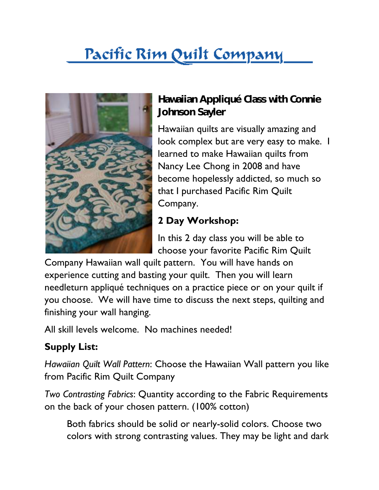## Pacific Rim Quilt Company



**Hawaiian Appliqué Class with Connie Johnson Sayler**

Hawaiian quilts are visually amazing and look complex but are very easy to make. I learned to make Hawaiian quilts from Nancy Lee Chong in 2008 and have become hopelessly addicted, so much so that I purchased Pacific Rim Quilt Company.

## **2 Day Workshop:**

In this 2 day class you will be able to choose your favorite Pacific Rim Quilt

Company Hawaiian wall quilt pattern. You will have hands on experience cutting and basting your quilt. Then you will learn needleturn appliqué techniques on a practice piece or on your quilt if you choose. We will have time to discuss the next steps, quilting and finishing your wall hanging.

All skill levels welcome. No machines needed!

## **Supply List:**

*Hawaiian Quilt Wall Pattern*: Choose the Hawaiian Wall pattern you like from Pacific Rim Quilt Company

*Two Contrasting Fabrics*: Quantity according to the Fabric Requirements on the back of your chosen pattern. (100% cotton)

Both fabrics should be solid or nearly-solid colors. Choose two colors with strong contrasting values. They may be light and dark